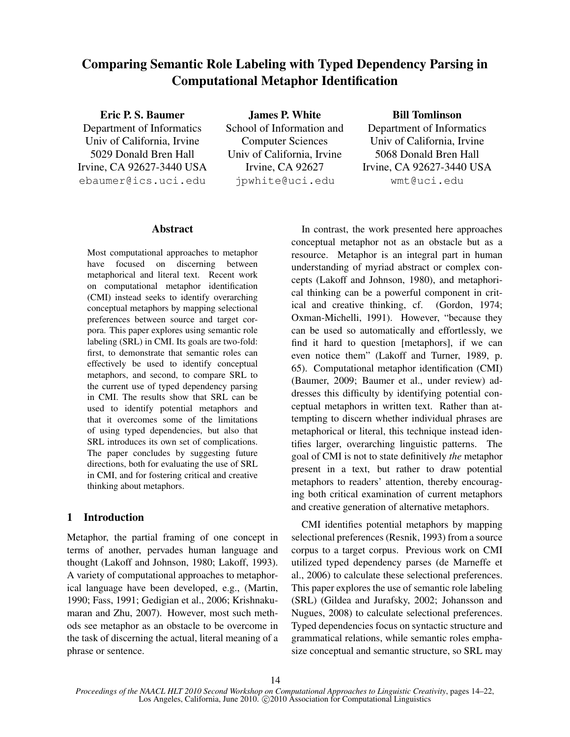# Comparing Semantic Role Labeling with Typed Dependency Parsing in Computational Metaphor Identification

### Eric P. S. Baumer

Department of Informatics Univ of California, Irvine 5029 Donald Bren Hall Irvine, CA 92627-3440 USA ebaumer@ics.uci.edu

James P. White School of Information and Computer Sciences Univ of California, Irvine Irvine, CA 92627 jpwhite@uci.edu

### Bill Tomlinson

Department of Informatics Univ of California, Irvine 5068 Donald Bren Hall Irvine, CA 92627-3440 USA wmt@uci.edu

### Abstract

Most computational approaches to metaphor have focused on discerning between metaphorical and literal text. Recent work on computational metaphor identification (CMI) instead seeks to identify overarching conceptual metaphors by mapping selectional preferences between source and target corpora. This paper explores using semantic role labeling (SRL) in CMI. Its goals are two-fold: first, to demonstrate that semantic roles can effectively be used to identify conceptual metaphors, and second, to compare SRL to the current use of typed dependency parsing in CMI. The results show that SRL can be used to identify potential metaphors and that it overcomes some of the limitations of using typed dependencies, but also that SRL introduces its own set of complications. The paper concludes by suggesting future directions, both for evaluating the use of SRL in CMI, and for fostering critical and creative thinking about metaphors.

# 1 Introduction

Metaphor, the partial framing of one concept in terms of another, pervades human language and thought (Lakoff and Johnson, 1980; Lakoff, 1993). A variety of computational approaches to metaphorical language have been developed, e.g., (Martin, 1990; Fass, 1991; Gedigian et al., 2006; Krishnakumaran and Zhu, 2007). However, most such methods see metaphor as an obstacle to be overcome in the task of discerning the actual, literal meaning of a phrase or sentence.

In contrast, the work presented here approaches conceptual metaphor not as an obstacle but as a resource. Metaphor is an integral part in human understanding of myriad abstract or complex concepts (Lakoff and Johnson, 1980), and metaphorical thinking can be a powerful component in critical and creative thinking, cf. (Gordon, 1974; Oxman-Michelli, 1991). However, "because they can be used so automatically and effortlessly, we find it hard to question [metaphors], if we can even notice them" (Lakoff and Turner, 1989, p. 65). Computational metaphor identification (CMI) (Baumer, 2009; Baumer et al., under review) addresses this difficulty by identifying potential conceptual metaphors in written text. Rather than attempting to discern whether individual phrases are metaphorical or literal, this technique instead identifies larger, overarching linguistic patterns. The goal of CMI is not to state definitively *the* metaphor present in a text, but rather to draw potential metaphors to readers' attention, thereby encouraging both critical examination of current metaphors and creative generation of alternative metaphors.

CMI identifies potential metaphors by mapping selectional preferences (Resnik, 1993) from a source corpus to a target corpus. Previous work on CMI utilized typed dependency parses (de Marneffe et al., 2006) to calculate these selectional preferences. This paper explores the use of semantic role labeling (SRL) (Gildea and Jurafsky, 2002; Johansson and Nugues, 2008) to calculate selectional preferences. Typed dependencies focus on syntactic structure and grammatical relations, while semantic roles emphasize conceptual and semantic structure, so SRL may

*Proceedings of the NAACL HLT 2010 Second Workshop on Computational Approaches to Linguistic Creativity*, pages 14–22, Los Angeles, California, June 2010. C 2010 Association for Computational Linguistics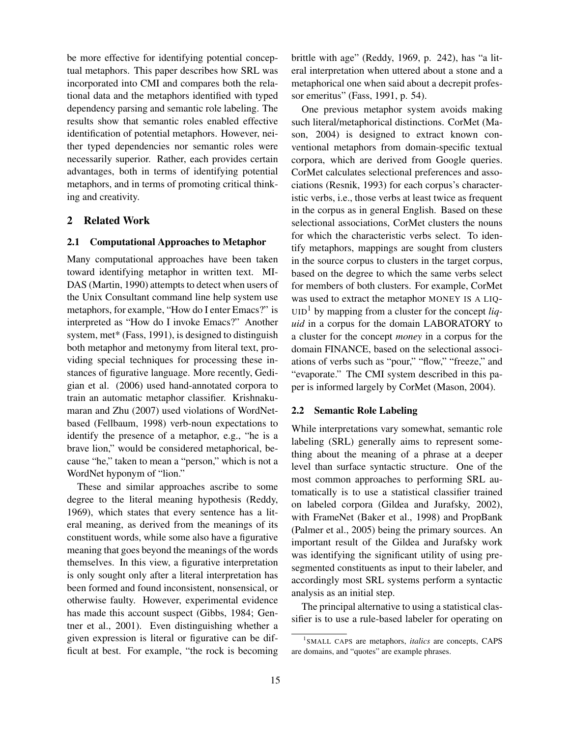be more effective for identifying potential conceptual metaphors. This paper describes how SRL was incorporated into CMI and compares both the relational data and the metaphors identified with typed dependency parsing and semantic role labeling. The results show that semantic roles enabled effective identification of potential metaphors. However, neither typed dependencies nor semantic roles were necessarily superior. Rather, each provides certain advantages, both in terms of identifying potential metaphors, and in terms of promoting critical thinking and creativity.

# 2 Related Work

### 2.1 Computational Approaches to Metaphor

Many computational approaches have been taken toward identifying metaphor in written text. MI-DAS (Martin, 1990) attempts to detect when users of the Unix Consultant command line help system use metaphors, for example, "How do I enter Emacs?" is interpreted as "How do I invoke Emacs?" Another system, met\* (Fass, 1991), is designed to distinguish both metaphor and metonymy from literal text, providing special techniques for processing these instances of figurative language. More recently, Gedigian et al. (2006) used hand-annotated corpora to train an automatic metaphor classifier. Krishnakumaran and Zhu (2007) used violations of WordNetbased (Fellbaum, 1998) verb-noun expectations to identify the presence of a metaphor, e.g., "he is a brave lion," would be considered metaphorical, because "he," taken to mean a "person," which is not a WordNet hyponym of "lion."

These and similar approaches ascribe to some degree to the literal meaning hypothesis (Reddy, 1969), which states that every sentence has a literal meaning, as derived from the meanings of its constituent words, while some also have a figurative meaning that goes beyond the meanings of the words themselves. In this view, a figurative interpretation is only sought only after a literal interpretation has been formed and found inconsistent, nonsensical, or otherwise faulty. However, experimental evidence has made this account suspect (Gibbs, 1984; Gentner et al., 2001). Even distinguishing whether a given expression is literal or figurative can be difficult at best. For example, "the rock is becoming brittle with age" (Reddy, 1969, p. 242), has "a literal interpretation when uttered about a stone and a metaphorical one when said about a decrepit professor emeritus" (Fass, 1991, p. 54).

One previous metaphor system avoids making such literal/metaphorical distinctions. CorMet (Mason, 2004) is designed to extract known conventional metaphors from domain-specific textual corpora, which are derived from Google queries. CorMet calculates selectional preferences and associations (Resnik, 1993) for each corpus's characteristic verbs, i.e., those verbs at least twice as frequent in the corpus as in general English. Based on these selectional associations, CorMet clusters the nouns for which the characteristic verbs select. To identify metaphors, mappings are sought from clusters in the source corpus to clusters in the target corpus, based on the degree to which the same verbs select for members of both clusters. For example, CorMet was used to extract the metaphor MONEY IS A LIQ- $UID<sup>1</sup>$  by mapping from a cluster for the concept *liquid* in a corpus for the domain LABORATORY to a cluster for the concept *money* in a corpus for the domain FINANCE, based on the selectional associations of verbs such as "pour," "flow," "freeze," and "evaporate." The CMI system described in this paper is informed largely by CorMet (Mason, 2004).

### 2.2 Semantic Role Labeling

While interpretations vary somewhat, semantic role labeling (SRL) generally aims to represent something about the meaning of a phrase at a deeper level than surface syntactic structure. One of the most common approaches to performing SRL automatically is to use a statistical classifier trained on labeled corpora (Gildea and Jurafsky, 2002), with FrameNet (Baker et al., 1998) and PropBank (Palmer et al., 2005) being the primary sources. An important result of the Gildea and Jurafsky work was identifying the significant utility of using presegmented constituents as input to their labeler, and accordingly most SRL systems perform a syntactic analysis as an initial step.

The principal alternative to using a statistical classifier is to use a rule-based labeler for operating on

<sup>1</sup> SMALL CAPS are metaphors, *italics* are concepts, CAPS are domains, and "quotes" are example phrases.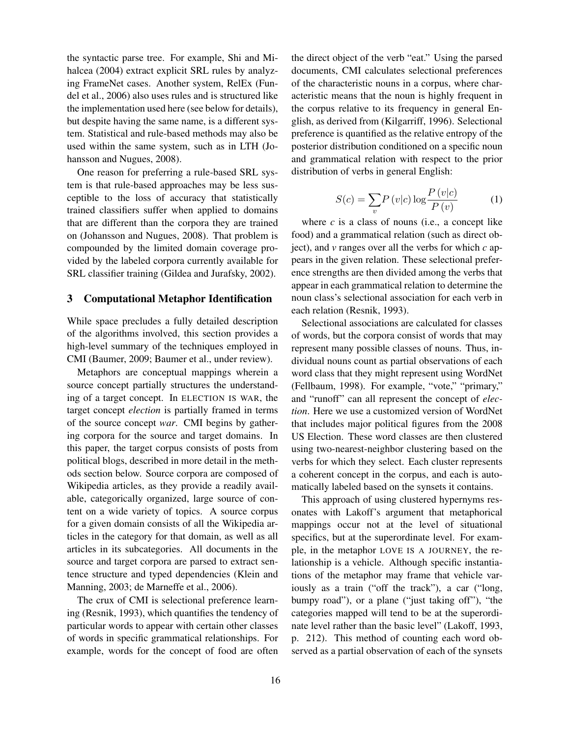the syntactic parse tree. For example, Shi and Mihalcea (2004) extract explicit SRL rules by analyzing FrameNet cases. Another system, RelEx (Fundel et al., 2006) also uses rules and is structured like the implementation used here (see below for details), but despite having the same name, is a different system. Statistical and rule-based methods may also be used within the same system, such as in LTH (Johansson and Nugues, 2008).

One reason for preferring a rule-based SRL system is that rule-based approaches may be less susceptible to the loss of accuracy that statistically trained classifiers suffer when applied to domains that are different than the corpora they are trained on (Johansson and Nugues, 2008). That problem is compounded by the limited domain coverage provided by the labeled corpora currently available for SRL classifier training (Gildea and Jurafsky, 2002).

#### 3 Computational Metaphor Identification

While space precludes a fully detailed description of the algorithms involved, this section provides a high-level summary of the techniques employed in CMI (Baumer, 2009; Baumer et al., under review).

Metaphors are conceptual mappings wherein a source concept partially structures the understanding of a target concept. In ELECTION IS WAR, the target concept *election* is partially framed in terms of the source concept *war*. CMI begins by gathering corpora for the source and target domains. In this paper, the target corpus consists of posts from political blogs, described in more detail in the methods section below. Source corpora are composed of Wikipedia articles, as they provide a readily available, categorically organized, large source of content on a wide variety of topics. A source corpus for a given domain consists of all the Wikipedia articles in the category for that domain, as well as all articles in its subcategories. All documents in the source and target corpora are parsed to extract sentence structure and typed dependencies (Klein and Manning, 2003; de Marneffe et al., 2006).

The crux of CMI is selectional preference learning (Resnik, 1993), which quantifies the tendency of particular words to appear with certain other classes of words in specific grammatical relationships. For example, words for the concept of food are often the direct object of the verb "eat." Using the parsed documents, CMI calculates selectional preferences of the characteristic nouns in a corpus, where characteristic means that the noun is highly frequent in the corpus relative to its frequency in general English, as derived from (Kilgarriff, 1996). Selectional preference is quantified as the relative entropy of the posterior distribution conditioned on a specific noun and grammatical relation with respect to the prior distribution of verbs in general English:

$$
S(c) = \sum_{v} P(v|c) \log \frac{P(v|c)}{P(v)}
$$
 (1)

where  $c$  is a class of nouns (i.e., a concept like food) and a grammatical relation (such as direct object), and *v* ranges over all the verbs for which *c* appears in the given relation. These selectional preference strengths are then divided among the verbs that appear in each grammatical relation to determine the noun class's selectional association for each verb in each relation (Resnik, 1993).

Selectional associations are calculated for classes of words, but the corpora consist of words that may represent many possible classes of nouns. Thus, individual nouns count as partial observations of each word class that they might represent using WordNet (Fellbaum, 1998). For example, "vote," "primary," and "runoff" can all represent the concept of *election*. Here we use a customized version of WordNet that includes major political figures from the 2008 US Election. These word classes are then clustered using two-nearest-neighbor clustering based on the verbs for which they select. Each cluster represents a coherent concept in the corpus, and each is automatically labeled based on the synsets it contains.

This approach of using clustered hypernyms resonates with Lakoff's argument that metaphorical mappings occur not at the level of situational specifics, but at the superordinate level. For example, in the metaphor LOVE IS A JOURNEY, the relationship is a vehicle. Although specific instantiations of the metaphor may frame that vehicle variously as a train ("off the track"), a car ("long, bumpy road"), or a plane ("just taking off"), "the categories mapped will tend to be at the superordinate level rather than the basic level" (Lakoff, 1993, p. 212). This method of counting each word observed as a partial observation of each of the synsets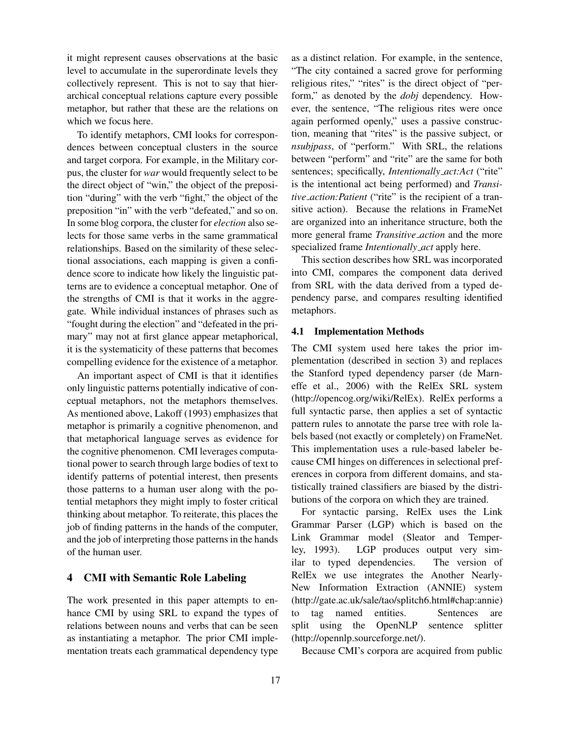it might represent causes observations at the basic level to accumulate in the superordinate levels they collectively represent. This is not to say that hierarchical conceptual relations capture every possible metaphor, but rather that these are the relations on which we focus here.

To identify metaphors, CMI looks for correspondences between conceptual clusters in the source and target corpora. For example, in the Military corpus, the cluster for *war* would frequently select to be the direct object of "win," the object of the preposition "during" with the verb "fight," the object of the preposition "in" with the verb "defeated," and so on. In some blog corpora, the cluster for *election* also selects for those same verbs in the same grammatical relationships. Based on the similarity of these selectional associations, each mapping is given a confidence score to indicate how likely the linguistic patterns are to evidence a conceptual metaphor. One of the strengths of CMI is that it works in the aggregate. While individual instances of phrases such as "fought during the election" and "defeated in the primary" may not at first glance appear metaphorical, it is the systematicity of these patterns that becomes compelling evidence for the existence of a metaphor.

An important aspect of CMI is that it identifies only linguistic patterns potentially indicative of conceptual metaphors, not the metaphors themselves. As mentioned above, Lakoff (1993) emphasizes that metaphor is primarily a cognitive phenomenon, and that metaphorical language serves as evidence for the cognitive phenomenon. CMI leverages computational power to search through large bodies of text to identify patterns of potential interest, then presents those patterns to a human user along with the potential metaphors they might imply to foster critical thinking about metaphor. To reiterate, this places the job of finding patterns in the hands of the computer, and the job of interpreting those patterns in the hands of the human user.

# 4 CMI with Semantic Role Labeling

The work presented in this paper attempts to enhance CMI by using SRL to expand the types of relations between nouns and verbs that can be seen as instantiating a metaphor. The prior CMI implementation treats each grammatical dependency type as a distinct relation. For example, in the sentence, "The city contained a sacred grove for performing religious rites," "rites" is the direct object of "perform," as denoted by the *dobj* dependency. However, the sentence, "The religious rites were once again performed openly," uses a passive construction, meaning that "rites" is the passive subject, or *nsubjpass*, of "perform." With SRL, the relations between "perform" and "rite" are the same for both sentences; specifically, *Intentionally\_act:Act* ("rite" is the intentional act being performed) and *Transitive action:Patient* ("rite" is the recipient of a transitive action). Because the relations in FrameNet are organized into an inheritance structure, both the more general frame *Transitive action* and the more specialized frame *Intentionally act* apply here.

This section describes how SRL was incorporated into CMI, compares the component data derived from SRL with the data derived from a typed dependency parse, and compares resulting identified metaphors.

### 4.1 Implementation Methods

The CMI system used here takes the prior implementation (described in section 3) and replaces the Stanford typed dependency parser (de Marneffe et al., 2006) with the RelEx SRL system (http://opencog.org/wiki/RelEx). RelEx performs a full syntactic parse, then applies a set of syntactic pattern rules to annotate the parse tree with role labels based (not exactly or completely) on FrameNet. This implementation uses a rule-based labeler because CMI hinges on differences in selectional preferences in corpora from different domains, and statistically trained classifiers are biased by the distributions of the corpora on which they are trained.

For syntactic parsing, RelEx uses the Link Grammar Parser (LGP) which is based on the Link Grammar model (Sleator and Temperley, 1993). LGP produces output very similar to typed dependencies. The version of RelEx we use integrates the Another Nearly-New Information Extraction (ANNIE) system (http://gate.ac.uk/sale/tao/splitch6.html#chap:annie) to tag named entities. Sentences are split using the OpenNLP sentence splitter (http://opennlp.sourceforge.net/).

Because CMI's corpora are acquired from public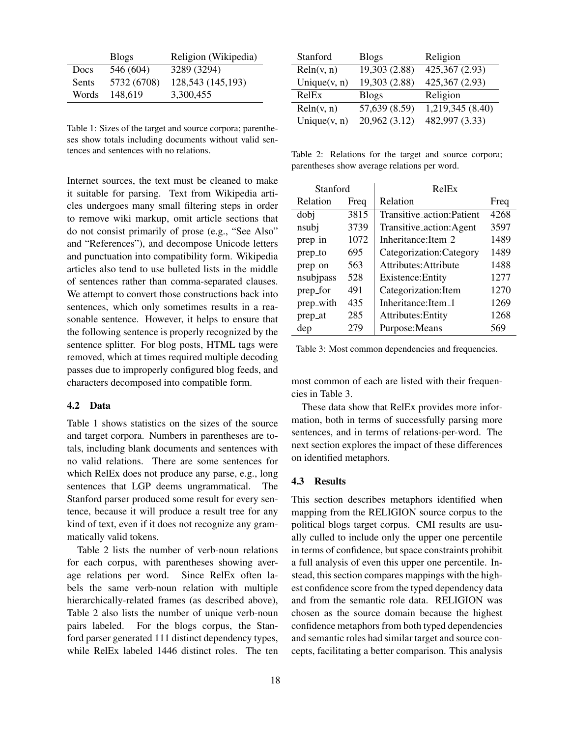|              | <b>Blogs</b> | Religion (Wikipedia) |
|--------------|--------------|----------------------|
| <b>Docs</b>  | 546 (604)    | 3289 (3294)          |
| <b>Sents</b> | 5732 (6708)  | 128,543 (145,193)    |
| Words        | 148,619      | 3,300,455            |

Table 1: Sizes of the target and source corpora; parentheses show totals including documents without valid sentences and sentences with no relations.

Internet sources, the text must be cleaned to make it suitable for parsing. Text from Wikipedia articles undergoes many small filtering steps in order to remove wiki markup, omit article sections that do not consist primarily of prose (e.g., "See Also" and "References"), and decompose Unicode letters and punctuation into compatibility form. Wikipedia articles also tend to use bulleted lists in the middle of sentences rather than comma-separated clauses. We attempt to convert those constructions back into sentences, which only sometimes results in a reasonable sentence. However, it helps to ensure that the following sentence is properly recognized by the sentence splitter. For blog posts, HTML tags were removed, which at times required multiple decoding passes due to improperly configured blog feeds, and characters decomposed into compatible form.

#### 4.2 Data

Table 1 shows statistics on the sizes of the source and target corpora. Numbers in parentheses are totals, including blank documents and sentences with no valid relations. There are some sentences for which RelEx does not produce any parse, e.g., long sentences that LGP deems ungrammatical. The Stanford parser produced some result for every sentence, because it will produce a result tree for any kind of text, even if it does not recognize any grammatically valid tokens.

Table 2 lists the number of verb-noun relations for each corpus, with parentheses showing average relations per word. Since RelEx often labels the same verb-noun relation with multiple hierarchically-related frames (as described above), Table 2 also lists the number of unique verb-noun pairs labeled. For the blogs corpus, the Stanford parser generated 111 distinct dependency types, while RelEx labeled 1446 distinct roles. The ten

| Stanford        | <b>Blogs</b>  | Religion         |
|-----------------|---------------|------------------|
| Reln(v, n)      | 19,303 (2.88) | 425,367 (2.93)   |
| Unique $(v, n)$ | 19,303 (2.88) | 425,367 (2.93)   |
| RelEx           | <b>Blogs</b>  | Religion         |
| Reln(v, n)      | 57,639 (8.59) | 1,219,345 (8.40) |
| Unique $(v, n)$ | 20,962 (3.12) | 482,997 (3.33)   |

Table 2: Relations for the target and source corpora; parentheses show average relations per word.

| Stanford  |      | RelEx                     |      |  |
|-----------|------|---------------------------|------|--|
| Relation  | Freq | Relation                  | Freq |  |
| dobj      | 3815 | Transitive_action:Patient | 4268 |  |
| nsubj     | 3739 | Transitive_action:Agent   | 3597 |  |
| prep_in   | 1072 | Inheritance: Item 2       | 1489 |  |
| prep_to   | 695  | Categorization: Category  | 1489 |  |
| prep_on   | 563  | Attributes: Attribute     | 1488 |  |
| nsubjpass | 528  | Existence: Entity         | 1277 |  |
| prep_for  | 491  | Categorization: Item      | 1270 |  |
| prep_with | 435  | Inheritance: Item_1       | 1269 |  |
| prep_at   | 285  | Attributes: Entity        | 1268 |  |
| dep       | 279  | Purpose: Means            | 569  |  |

Table 3: Most common dependencies and frequencies.

most common of each are listed with their frequencies in Table 3.

These data show that RelEx provides more information, both in terms of successfully parsing more sentences, and in terms of relations-per-word. The next section explores the impact of these differences on identified metaphors.

### 4.3 Results

This section describes metaphors identified when mapping from the RELIGION source corpus to the political blogs target corpus. CMI results are usually culled to include only the upper one percentile in terms of confidence, but space constraints prohibit a full analysis of even this upper one percentile. Instead, this section compares mappings with the highest confidence score from the typed dependency data and from the semantic role data. RELIGION was chosen as the source domain because the highest confidence metaphors from both typed dependencies and semantic roles had similar target and source concepts, facilitating a better comparison. This analysis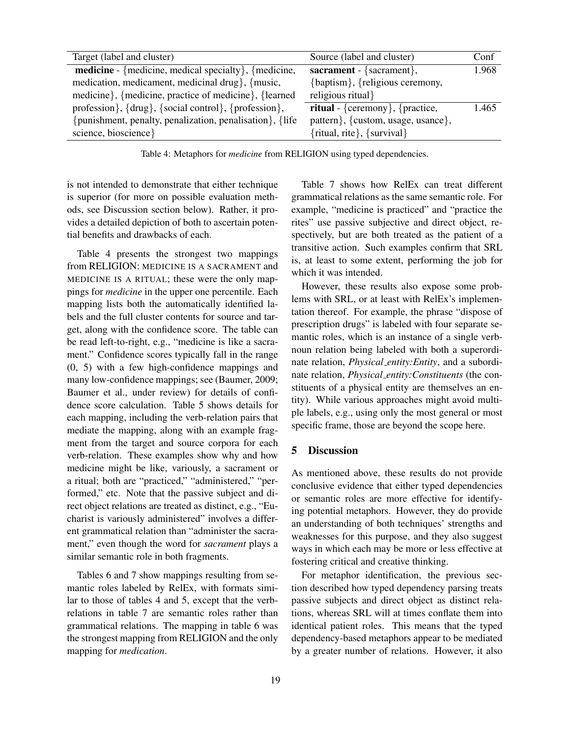| Target (label and cluster)                                        | Source (label and cluster)             | Conf  |
|-------------------------------------------------------------------|----------------------------------------|-------|
| <b>medicine</b> - {medicine, medical specialty}, {medicine,       | sacrament - $\{sacramer\}$ ,           | 1.968 |
| medication, medicament, medicinal drug}, {music,                  | {baptism}, {religious ceremony,        |       |
| medicine}, {medicine, practice of medicine}, {learned             | religious ritual                       |       |
| profession $\}, \{ drug\}, \{social control\}, \{profession\}, \$ | <b>ritual</b> - {ceremony}, {practice, | 1.465 |
| {punishment, penalty, penalization, penalisation $\}$ , {life}    | pattern }, {custom, usage, usance},    |       |
| science, bioscience }                                             | {ritual, rite}, {survival}             |       |

Table 4: Metaphors for *medicine* from RELIGION using typed dependencies.

is not intended to demonstrate that either technique is superior (for more on possible evaluation methods, see Discussion section below). Rather, it provides a detailed depiction of both to ascertain potential benefits and drawbacks of each.

Table 4 presents the strongest two mappings from RELIGION: MEDICINE IS A SACRAMENT and MEDICINE IS A RITUAL; these were the only mappings for *medicine* in the upper one percentile. Each mapping lists both the automatically identified labels and the full cluster contents for source and target, along with the confidence score. The table can be read left-to-right, e.g., "medicine is like a sacrament." Confidence scores typically fall in the range (0, 5) with a few high-confidence mappings and many low-confidence mappings; see (Baumer, 2009; Baumer et al., under review) for details of confidence score calculation. Table 5 shows details for each mapping, including the verb-relation pairs that mediate the mapping, along with an example fragment from the target and source corpora for each verb-relation. These examples show why and how medicine might be like, variously, a sacrament or a ritual; both are "practiced," "administered," "performed," etc. Note that the passive subject and direct object relations are treated as distinct, e.g., "Eucharist is variously administered" involves a different grammatical relation than "administer the sacrament," even though the word for *sacrament* plays a similar semantic role in both fragments.

Tables 6 and 7 show mappings resulting from semantic roles labeled by RelEx, with formats similar to those of tables 4 and 5, except that the verbrelations in table 7 are semantic roles rather than grammatical relations. The mapping in table 6 was the strongest mapping from RELIGION and the only mapping for *medication*.

Table 7 shows how RelEx can treat different grammatical relations as the same semantic role. For example, "medicine is practiced" and "practice the rites" use passive subjective and direct object, respectively, but are both treated as the patient of a transitive action. Such examples confirm that SRL is, at least to some extent, performing the job for which it was intended.

However, these results also expose some problems with SRL, or at least with RelEx's implementation thereof. For example, the phrase "dispose of prescription drugs" is labeled with four separate semantic roles, which is an instance of a single verbnoun relation being labeled with both a superordinate relation, *Physical entity:Entity*, and a subordinate relation, *Physical entity:Constituents* (the constituents of a physical entity are themselves an entity). While various approaches might avoid multiple labels, e.g., using only the most general or most specific frame, those are beyond the scope here.

# 5 Discussion

As mentioned above, these results do not provide conclusive evidence that either typed dependencies or semantic roles are more effective for identifying potential metaphors. However, they do provide an understanding of both techniques' strengths and weaknesses for this purpose, and they also suggest ways in which each may be more or less effective at fostering critical and creative thinking.

For metaphor identification, the previous section described how typed dependency parsing treats passive subjects and direct object as distinct relations, whereas SRL will at times conflate them into identical patient roles. This means that the typed dependency-based metaphors appear to be mediated by a greater number of relations. However, it also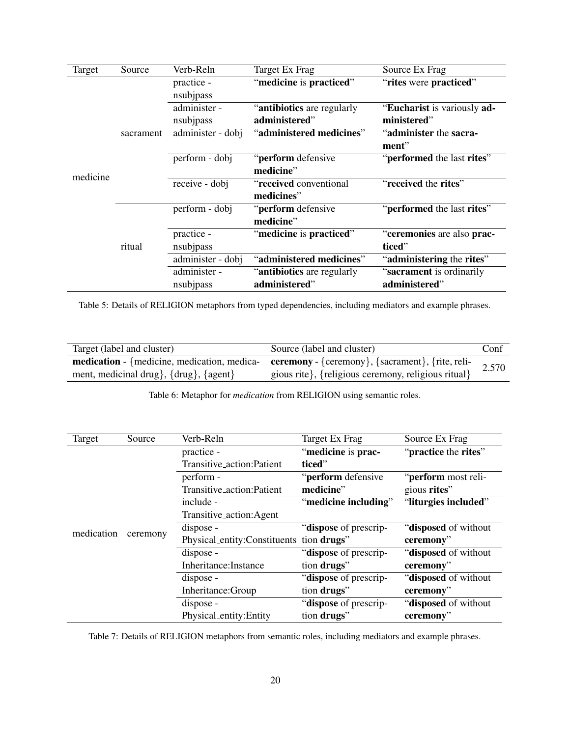| Target   | Source    | Verb-Reln         | Target Ex Frag             | Source Ex Frag              |
|----------|-----------|-------------------|----------------------------|-----------------------------|
|          | sacrament | practice -        | "medicine is practiced"    | "rites were practiced"      |
|          |           | nsubjpass         |                            |                             |
|          |           | administer -      | "antibiotics are regularly | "Eucharist is variously ad- |
|          |           | nsubjpass         | administered"              | ministered"                 |
|          |           | administer - dobj | "administered medicines"   | "administer the sacra-      |
|          |           |                   |                            | ment"                       |
|          |           | perform - dobj    | "perform defensive         | "performed the last rites"  |
| medicine |           |                   | medicine"                  |                             |
|          |           | receive - dobj    | "received conventional     | "received the rites"        |
|          |           |                   | medicines"                 |                             |
|          | ritual    | perform - dobj    | "perform defensive         | "performed the last rites"  |
|          |           |                   | medicine"                  |                             |
|          |           | practice -        | "medicine is practiced"    | "ceremonies are also prac-  |
|          |           | nsubjpass         |                            | ticed"                      |
|          |           | administer - dobj | "administered medicines"   | "administering the rites"   |
|          |           | administer -      | "antibiotics are regularly | "sacrament is ordinarily"   |
|          |           | nsubjpass         | administered"              | administered"               |

Table 5: Details of RELIGION metaphors from typed dependencies, including mediators and example phrases.

| Target (label and cluster)                                    | Source (label and cluster)                                                                                    | Conf  |
|---------------------------------------------------------------|---------------------------------------------------------------------------------------------------------------|-------|
|                                                               | <b>medication</b> - {medicine, medication, medica-<br><b>ceremony</b> - {ceremony}, {sacrament}, {rite, reli- | 2.570 |
| ment, medicinal drug $\{ \frac{\text{drug}}{\text{ggrut}} \}$ | gious rite}, {religious ceremony, religious ritual}                                                           |       |

Table 6: Metaphor for *medication* from RELIGION using semantic roles.

| Target     | Source   | Verb-Reln                                | Target Ex Frag        | Source Ex Frag        |
|------------|----------|------------------------------------------|-----------------------|-----------------------|
| medication |          | practice -                               | "medicine is prac-    | "practice the rites"  |
|            |          | Transitive_action:Patient                | ticed"                |                       |
|            |          | perform -                                | "perform defensive    | "perform most reli-   |
|            |          | Transitive_action:Patient                | medicine"             | gious rites"          |
|            |          | include -                                | "medicine including"  | "liturgies included"  |
|            |          | Transitive_action:Agent                  |                       |                       |
|            |          | dispose -                                | "dispose of prescrip- | "disposed of without" |
|            | ceremony | Physical_entity:Constituents tion drugs" |                       | ceremony"             |
|            |          | dispose -                                | "dispose of prescrip- | "disposed of without" |
|            |          | Inheritance: Instance                    | tion drugs"           | ceremony"             |
|            |          | dispose -                                | "dispose of prescrip- | "disposed of without  |
|            |          | Inheritance: Group                       | tion drugs"           | ceremony"             |
|            |          | dispose -                                | "dispose of prescrip- | "disposed of without  |
|            |          | Physical_entity:Entity                   | tion drugs"           | ceremony"             |

Table 7: Details of RELIGION metaphors from semantic roles, including mediators and example phrases.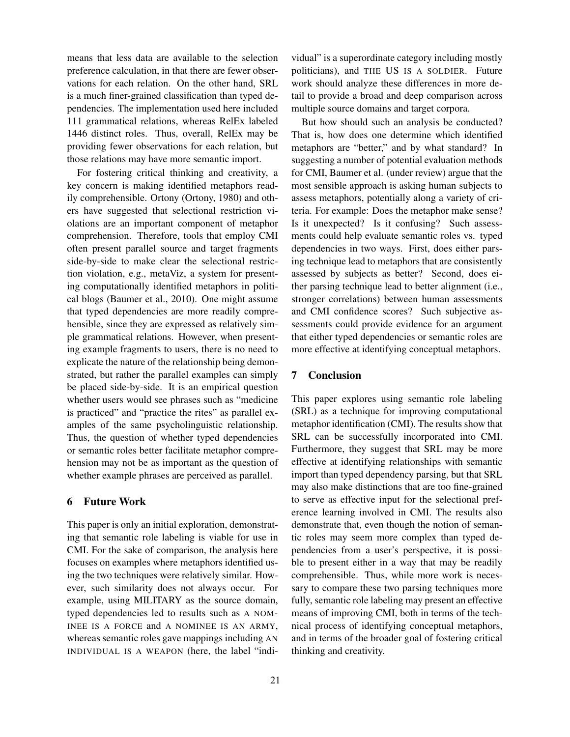means that less data are available to the selection preference calculation, in that there are fewer observations for each relation. On the other hand, SRL is a much finer-grained classification than typed dependencies. The implementation used here included 111 grammatical relations, whereas RelEx labeled 1446 distinct roles. Thus, overall, RelEx may be providing fewer observations for each relation, but those relations may have more semantic import.

For fostering critical thinking and creativity, a key concern is making identified metaphors readily comprehensible. Ortony (Ortony, 1980) and others have suggested that selectional restriction violations are an important component of metaphor comprehension. Therefore, tools that employ CMI often present parallel source and target fragments side-by-side to make clear the selectional restriction violation, e.g., metaViz, a system for presenting computationally identified metaphors in political blogs (Baumer et al., 2010). One might assume that typed dependencies are more readily comprehensible, since they are expressed as relatively simple grammatical relations. However, when presenting example fragments to users, there is no need to explicate the nature of the relationship being demonstrated, but rather the parallel examples can simply be placed side-by-side. It is an empirical question whether users would see phrases such as "medicine is practiced" and "practice the rites" as parallel examples of the same psycholinguistic relationship. Thus, the question of whether typed dependencies or semantic roles better facilitate metaphor comprehension may not be as important as the question of whether example phrases are perceived as parallel.

# 6 Future Work

This paper is only an initial exploration, demonstrating that semantic role labeling is viable for use in CMI. For the sake of comparison, the analysis here focuses on examples where metaphors identified using the two techniques were relatively similar. However, such similarity does not always occur. For example, using MILITARY as the source domain, typed dependencies led to results such as A NOM-INEE IS A FORCE and A NOMINEE IS AN ARMY, whereas semantic roles gave mappings including AN INDIVIDUAL IS A WEAPON (here, the label "individual" is a superordinate category including mostly politicians), and THE US IS A SOLDIER. Future work should analyze these differences in more detail to provide a broad and deep comparison across multiple source domains and target corpora.

But how should such an analysis be conducted? That is, how does one determine which identified metaphors are "better," and by what standard? In suggesting a number of potential evaluation methods for CMI, Baumer et al. (under review) argue that the most sensible approach is asking human subjects to assess metaphors, potentially along a variety of criteria. For example: Does the metaphor make sense? Is it unexpected? Is it confusing? Such assessments could help evaluate semantic roles vs. typed dependencies in two ways. First, does either parsing technique lead to metaphors that are consistently assessed by subjects as better? Second, does either parsing technique lead to better alignment (i.e., stronger correlations) between human assessments and CMI confidence scores? Such subjective assessments could provide evidence for an argument that either typed dependencies or semantic roles are more effective at identifying conceptual metaphors.

### 7 Conclusion

This paper explores using semantic role labeling (SRL) as a technique for improving computational metaphor identification (CMI). The results show that SRL can be successfully incorporated into CMI. Furthermore, they suggest that SRL may be more effective at identifying relationships with semantic import than typed dependency parsing, but that SRL may also make distinctions that are too fine-grained to serve as effective input for the selectional preference learning involved in CMI. The results also demonstrate that, even though the notion of semantic roles may seem more complex than typed dependencies from a user's perspective, it is possible to present either in a way that may be readily comprehensible. Thus, while more work is necessary to compare these two parsing techniques more fully, semantic role labeling may present an effective means of improving CMI, both in terms of the technical process of identifying conceptual metaphors, and in terms of the broader goal of fostering critical thinking and creativity.